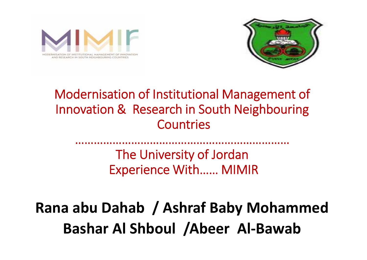



#### **Modernisation of Institutional Management of Innovation & Research in South Neighbouring Countries**

**…………………………………………………………… The University of Jordan Experience With…… MIMIR**

**Rana abu Dahab / Ashraf Baby Mohammed Bashar Al Shboul /Abeer Al-Bawab**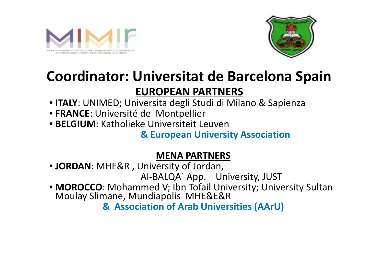



#### **Coordinator: Universitat de Barcelona Spain EUROPEAN PARTNERS**

- **ITALY**: UNIMED; Universita degli Studi di Milano & Sapienza
- **FRANCE**: Université de Montpellier
- **BELGIUM**: Katholieke Universiteit Leuven

**& European University Association**

#### **MENA PARTNERS**

- **JORDAN**: MHE&R , University of Jordan, Al-BALQA´ App. University, JUST
- **MOROCCO**: Mohammed V; Ibn Tofail University; University Sultan Moulay Slimane, Mundiapolis MHE&E&R

**& Association of Arab Universities (AArU)**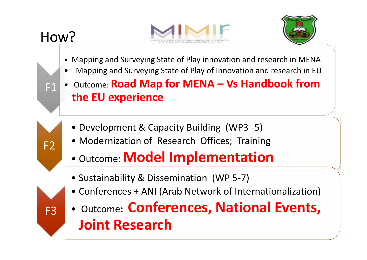## **How?**





- Mapping and Surveying State of Play innovation and research in MENA
- Mapping and Surveying State of Play of Innovation and research in EU
- F1 Outcome: **Road Map for MENA – Vs Handbook from the EU experience**
	- Development & Capacity Building (WP3 -5)
- Modernization of Research Offices; Training F2 | VIOQE
	- Outcome: **Model Implementation**
	- Sustainability & Dissemination (WP 5-7)
	- Conferences + ANI (Arab Network of Internationalization)
- F3 Outcome**: Conferences, National Events, Joint Research**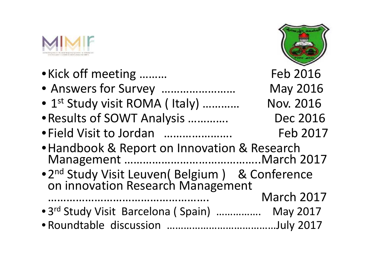

- •Kick off meeting ……… Feb 2016
- Answers for Survey …………………… May 2016
- 1 st Study visit ROMA ( Italy) ………… Nov. 2016
- •Results of SOWT Analysis …………. Dec 2016
- •Field Visit to Jordan …………………. Feb 2017
- •Handbook & Report on Innovation & Research Management ……………………………………..March 2017
- •2 nd Study Visit Leuven( Belgium ) & Conference on innovation Research Management ……………………………………………. March 2017
- 3 rd Study Visit Barcelona ( Spain) ……………. May 2017
- •Roundtable discussion …………………………………July 2017

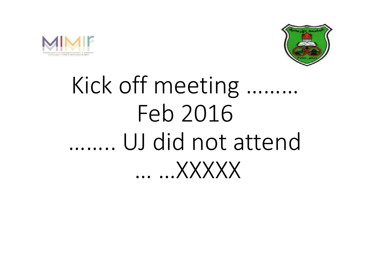



# Kick off meeting ……… Feb 2016 …….. UJ did not attend … …XXXXX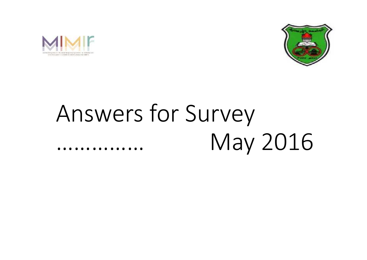



# Answers for Survey May 2016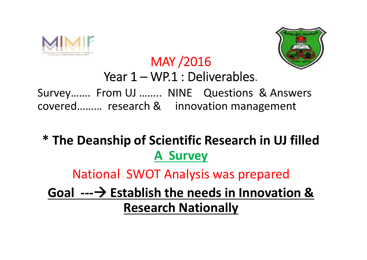



### **MAY /2016**

**Year 1 – WP.1 : Deliverables**.

#### Survey……. From UJ …….. NINE Questions & Answers covered……… research & innovation management

### **\* The Deanship of Scientific Research in UJ filled A Survey**

National SWOT Analysis was prepared

**Goal --- Establish the needs in Innovation & Research Nationally**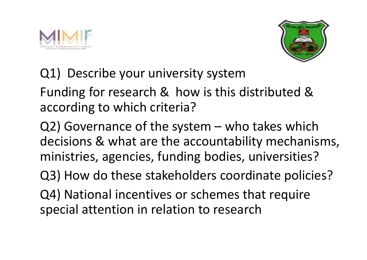



#### Q1) Describe your university system

Funding for research & how is this distributed & according to which criteria?

Q2) Governance of the system – who takes which decisions & what are the accountability mechanisms, ministries, agencies, funding bodies, universities?

Q3) How do these stakeholders coordinate policies?

Q4) National incentives or schemes that require special attention in relation to research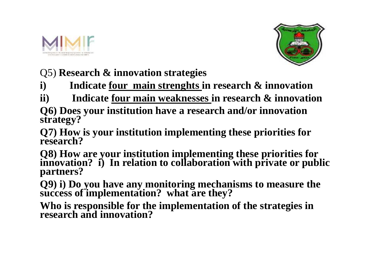



#### Q5) **Research & innovation strategies**

- **i) Indicate four main strenghts in research & innovation**
- **ii) Indicate four main weaknesses in research & innovation**
- **Q6) Does your institution have a research and/or innovation strategy?**
- **Q7) How is your institution implementing these priorities for research?**
- **Q8) How are your institution implementing these priorities for innovation? i) In relation to collaboration with private or public partners?**
- **Q9) i) Do you have any monitoring mechanisms to measure the success of implementation? what are they?**
- **Who is responsible for the implementation of the strategies in research and innovation?**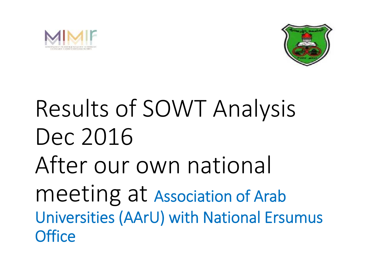



# Results of SOWT Analysis Dec 2016 After our own national meeting at **Association of Arab Universities (AArU) with National Ersumus Office**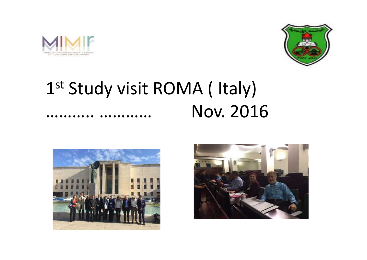



## 1st Study visit ROMA (Italy) **Nov. 2016**



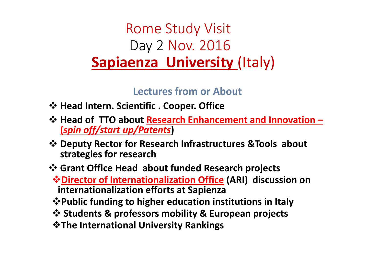## Rome Study Visit Day 2 Nov. 2016 **Sapiaenza University** (Italy)

#### **Lectures from or About**

- $\diamond$  **Head Intern. Scientific . Cooper. Office**
- $\triangle$  **Head of TTO about Research Enhancement and Innovation (***spin off/start up/Patents***)**
- **Deputy Rector for Research Infrastructures &Tools about strategies for research**
- **Grant Office Head about funded Research projects**
- **Director of Internationalization Office (ARI) discussion on internationalization efforts at Sapienza**
- **Public funding to higher education institutions in Italy**
- **Students & professors mobility & European projects**
- *<b>☆The International University Rankings*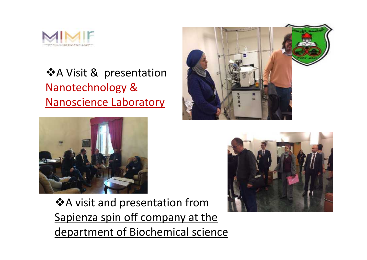

#### ❖A Visit & presentation Nanotechnology & Nanoscience Laboratory





A visit and presentation from Sapienza spin off company at the department of Biochemical science

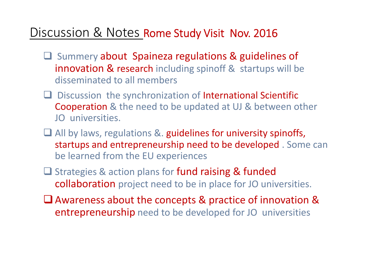#### Discussion & Notes **Rome Study Visit Nov. 2016**

- $\Box$  Summery about Spaineza regulations & guidelines of innovation & research including spinoff & startups will be disseminated to all members
- $\Box$  Discussion the synchronization of International Scientific Cooperation & the need to be updated at UJ & between other JO universities.
- □ All by laws, regulations &. guidelines for university spinoffs, startups and entrepreneurship need to be developed . Some can be learned from the EU experiences
- $\Box$  Strategies & action plans for fund raising & funded collaboration project need to be in place for JO universities.
- Awareness about the concepts & practice of innovation & entrepreneurship need to be developed for JO universities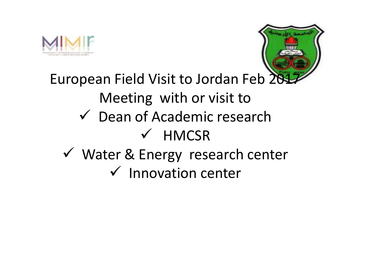



European Field Visit to Jordan Feb 201 Meeting with or visit to Dean of Academic research  $V$  HMCSR Water & Energy research center

 $\checkmark$  Innovation center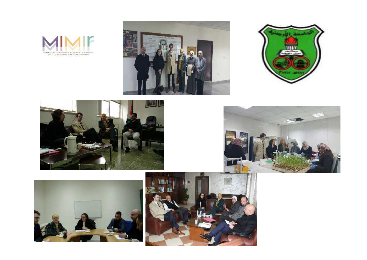











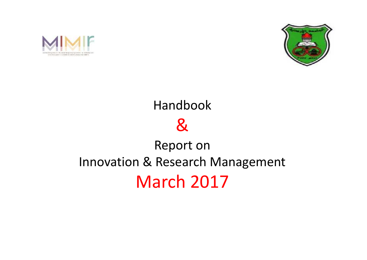



### Handbook

## &

## Report on Innovation & Research Management March 2017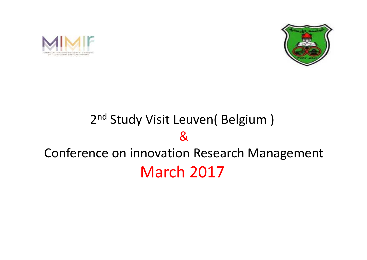



## 2 nd Study Visit Leuven( Belgium ) & Conference on innovation Research Management March 2017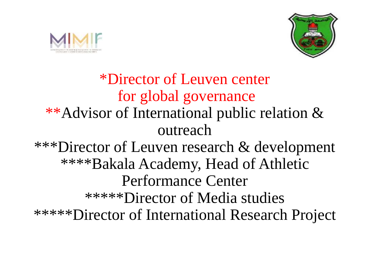



\*Director of Leuven center for global governance \*\*Advisor of International public relation & outreach \*\*\*Director of Leuven research & development \*\*\*\*Bakala Academy, Head of Athletic Performance Center \*\*\*\*\*Director of Media studies \*\*\*\*\*Director of International Research Project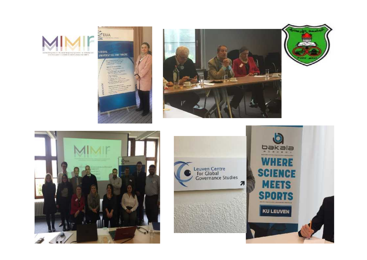









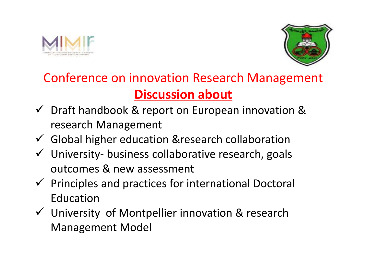



### Conference on innovation Research Management **Discussion about**

- $\checkmark$  Draft handbook & report on European innovation & research Management
- Global higher education &research collaboration
- $\checkmark$  University- business collaborative research, goals outcomes & new assessment
- $\checkmark$  Principles and practices for international Doctoral Education
- University of Montpellier innovation & research Management Model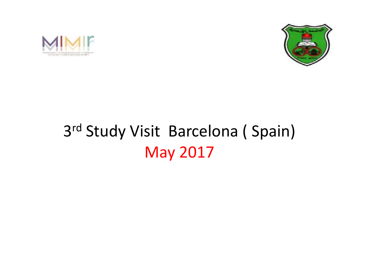



## 3 rd Study Visit Barcelona ( Spain) May 2017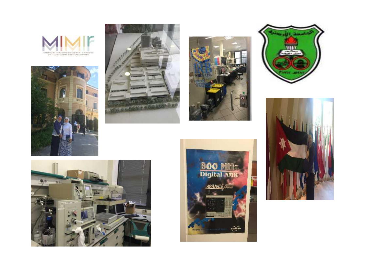